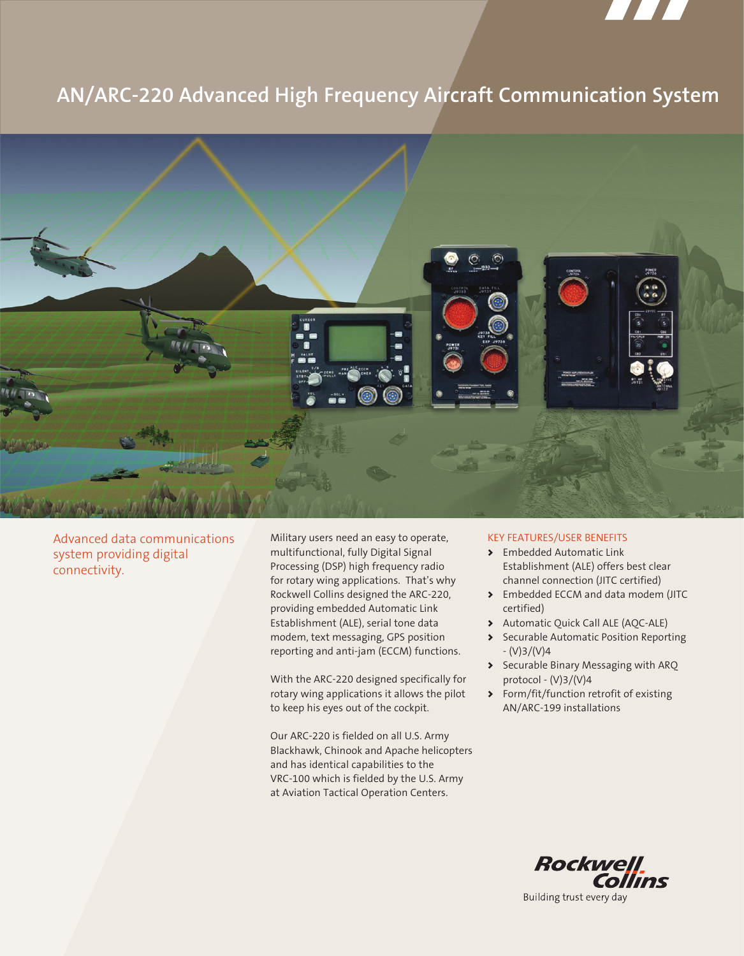

# **AN/ARC-220 Advanced High Frequency Aircraft Communication System**



Advanced data communications system providing digital connectivity.

Military users need an easy to operate, multifunctional, fully Digital Signal Processing (DSP) high frequency radio for rotary wing applications. That's why Rockwell Collins designed the ARC-220, providing embedded Automatic Link Establishment (ALE), serial tone data modem, text messaging, GPS position reporting and anti-jam (ECCM) functions.

With the ARC-220 designed specifically for rotary wing applications it allows the pilot to keep his eyes out of the cockpit.

Our ARC-220 is fielded on all U.S. Army Blackhawk, Chinook and Apache helicopters and has identical capabilities to the VRC-100 which is fielded by the U.S. Army at Aviation Tactical Operation Centers.

# Key Features/User Benefits

- Embedded Automatic Link > Establishment (ALE) offers best clear channel connection (JITC certified)
- Embedded ECCM and data modem (JITC > certified)
- Automatic Quick Call ALE (AQC-ALE) >
- Securable Automatic Position Reporting  $- (V)3/(V)4$
- Securable Binary Messaging with ARQ protocol - (V)3/(V)4
- Form/fit/function retrofit of existing > AN/ARC-199 installations